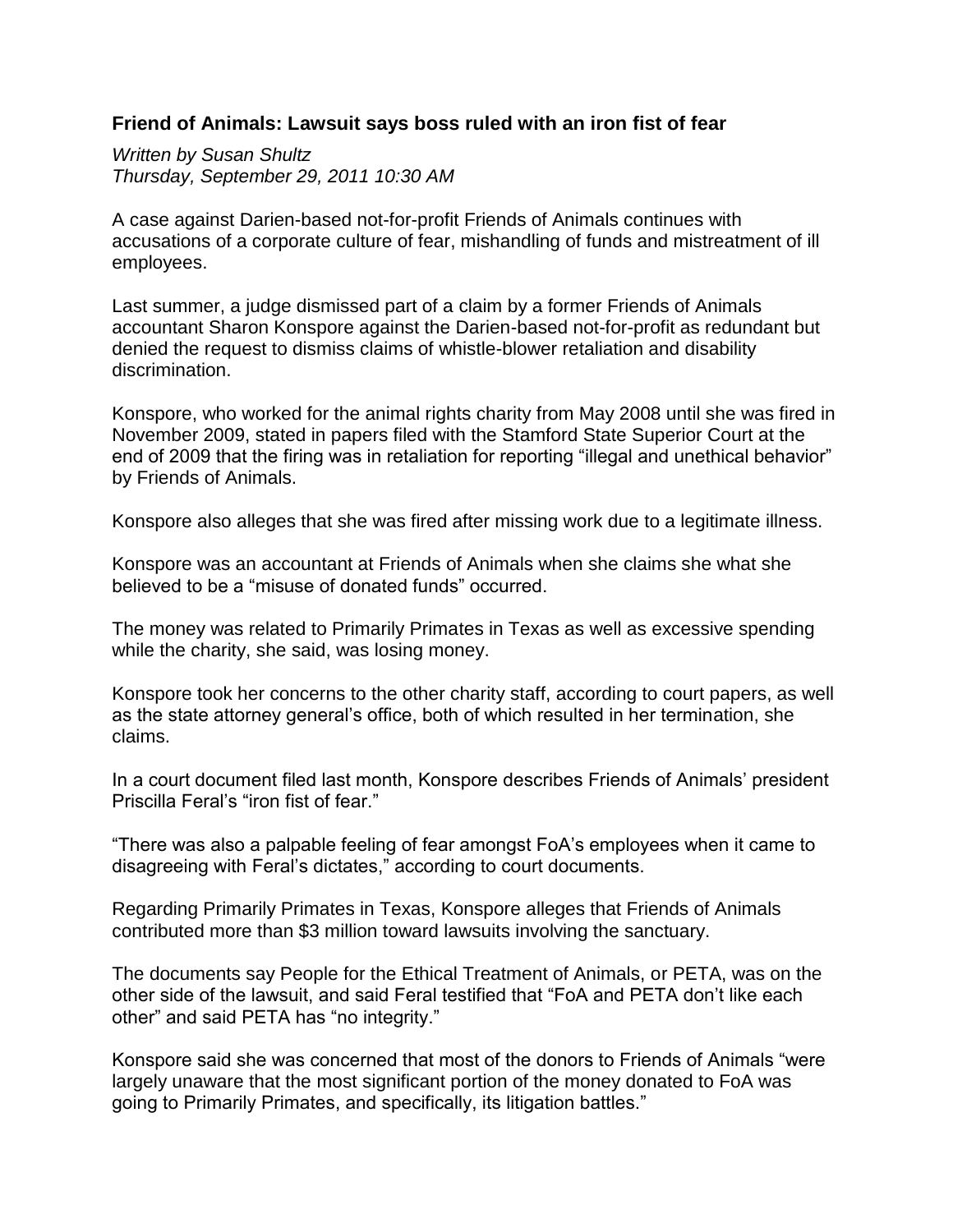## **Friend of Animals: Lawsuit says boss ruled with an iron fist of fear**

*Written by Susan Shultz Thursday, September 29, 2011 10:30 AM*

A case against Darien-based not-for-profit Friends of Animals continues with accusations of a corporate culture of fear, mishandling of funds and mistreatment of ill employees.

Last summer, a judge dismissed part of a claim by a former Friends of Animals accountant Sharon Konspore against the Darien-based not-for-profit as redundant but denied the request to dismiss claims of whistle-blower retaliation and disability discrimination.

Konspore, who worked for the animal rights charity from May 2008 until she was fired in November 2009, stated in papers filed with the Stamford State Superior Court at the end of 2009 that the firing was in retaliation for reporting "illegal and unethical behavior" by Friends of Animals.

Konspore also alleges that she was fired after missing work due to a legitimate illness.

Konspore was an accountant at Friends of Animals when she claims she what she believed to be a "misuse of donated funds" occurred.

The money was related to Primarily Primates in Texas as well as excessive spending while the charity, she said, was losing money.

Konspore took her concerns to the other charity staff, according to court papers, as well as the state attorney general's office, both of which resulted in her termination, she claims.

In a court document filed last month, Konspore describes Friends of Animals' president Priscilla Feral's "iron fist of fear."

"There was also a palpable feeling of fear amongst FoA's employees when it came to disagreeing with Feral's dictates," according to court documents.

Regarding Primarily Primates in Texas, Konspore alleges that Friends of Animals contributed more than \$3 million toward lawsuits involving the sanctuary.

The documents say People for the Ethical Treatment of Animals, or PETA, was on the other side of the lawsuit, and said Feral testified that "FoA and PETA don't like each other" and said PETA has "no integrity."

Konspore said she was concerned that most of the donors to Friends of Animals "were largely unaware that the most significant portion of the money donated to FoA was going to Primarily Primates, and specifically, its litigation battles."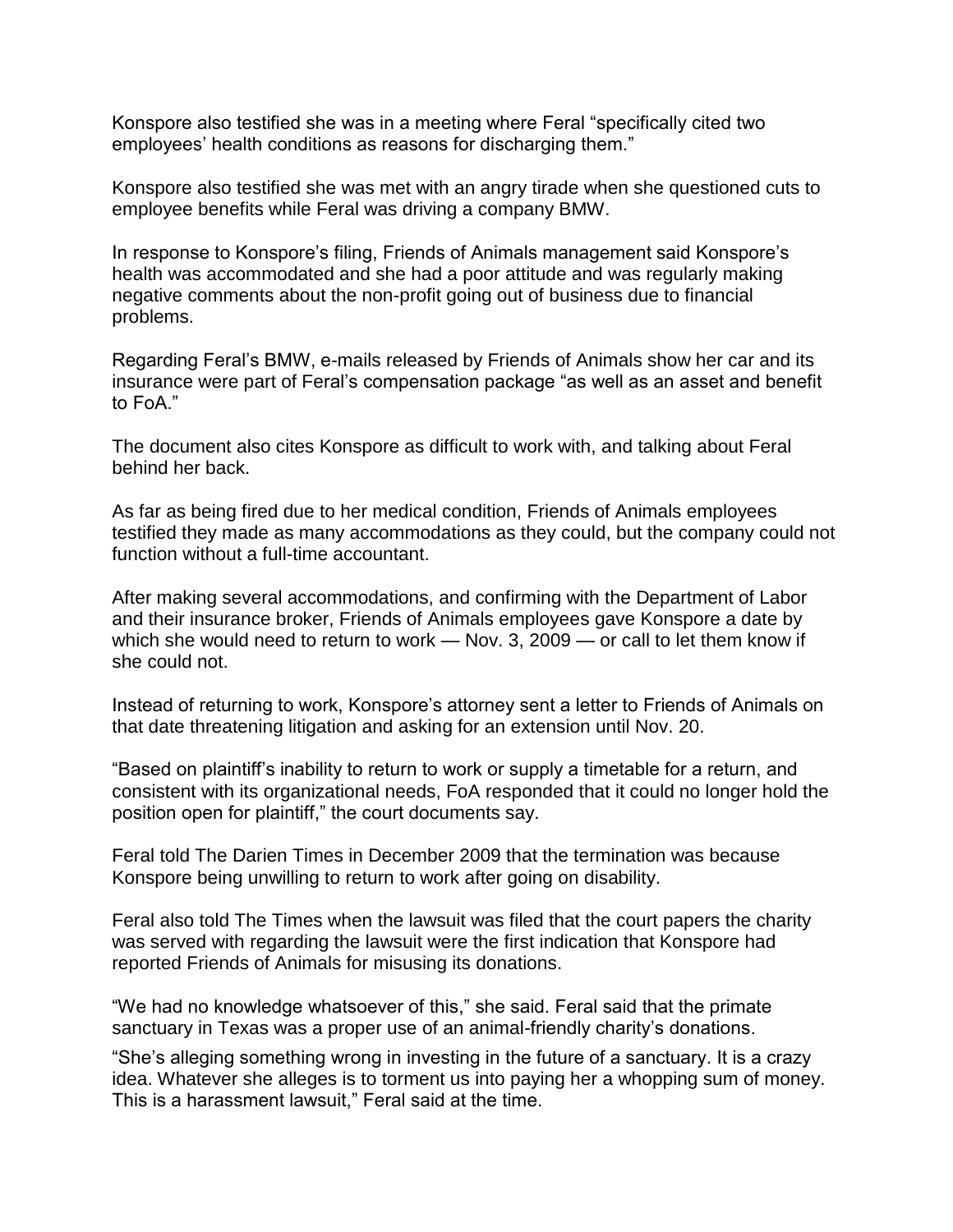Konspore also testified she was in a meeting where Feral "specifically cited two employees' health conditions as reasons for discharging them."

Konspore also testified she was met with an angry tirade when she questioned cuts to employee benefits while Feral was driving a company BMW.

In response to Konspore's filing, Friends of Animals management said Konspore's health was accommodated and she had a poor attitude and was regularly making negative comments about the non-profit going out of business due to financial problems.

Regarding Feral's BMW, e-mails released by Friends of Animals show her car and its insurance were part of Feral's compensation package "as well as an asset and benefit to FoA."

The document also cites Konspore as difficult to work with, and talking about Feral behind her back.

As far as being fired due to her medical condition, Friends of Animals employees testified they made as many accommodations as they could, but the company could not function without a full-time accountant.

After making several accommodations, and confirming with the Department of Labor and their insurance broker, Friends of Animals employees gave Konspore a date by which she would need to return to work — Nov. 3, 2009 — or call to let them know if she could not.

Instead of returning to work, Konspore's attorney sent a letter to Friends of Animals on that date threatening litigation and asking for an extension until Nov. 20.

"Based on plaintiff's inability to return to work or supply a timetable for a return, and consistent with its organizational needs, FoA responded that it could no longer hold the position open for plaintiff," the court documents say.

Feral told The Darien Times in December 2009 that the termination was because Konspore being unwilling to return to work after going on disability.

Feral also told The Times when the lawsuit was filed that the court papers the charity was served with regarding the lawsuit were the first indication that Konspore had reported Friends of Animals for misusing its donations.

"We had no knowledge whatsoever of this," she said. Feral said that the primate sanctuary in Texas was a proper use of an animal-friendly charity's donations.

"She's alleging something wrong in investing in the future of a sanctuary. It is a crazy idea. Whatever she alleges is to torment us into paying her a whopping sum of money. This is a harassment lawsuit," Feral said at the time.